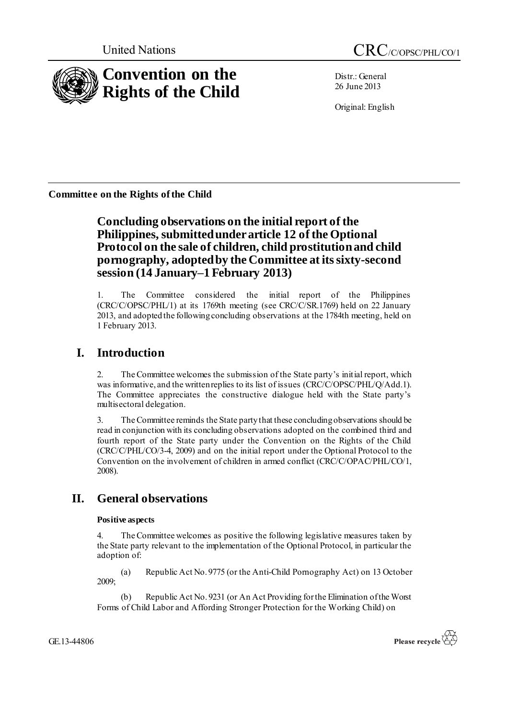

Distr.: General 26 June 2013

Original: English

**Committee on the Rights of the Child**

# **Concluding observations on the initial report of the Philippines, submitted under article 12 of the Optional Protocol on the sale of children, child prostitution and child pornography, adopted by the Committee at its sixty-second session (14 January–1 February 2013)**

1. The Committee considered the initial report of the Philippines (CRC/C/OPSC/PHL/1) at its 1769th meeting (see CRC/C/SR.1769) held on 22 January 2013, and adopted the following concluding observations at the 1784th meeting, held on 1 February 2013.

# **I. Introduction**

2. The Committee welcomes the submission of the State party's initial report, which was informative, and the written replies to its list of issues (CRC/C/OPSC/PHL/Q/Add.1). The Committee appreciates the constructive dialogue held with the State party's multisectoral delegation.

3. The Committee reminds the State party that these concluding observations should be read in conjunction with its concluding observations adopted on the combined third and fourth report of the State party under the Convention on the Rights of the Child (CRC/C/PHL/CO/3-4, 2009) and on the initial report under the Optional Protocol to the Convention on the involvement of children in armed conflict (CRC/C/OPAC/PHL/CO/1, 2008).

# **II. General observations**

## **Positive aspects**

The Committee welcomes as positive the following legislative measures taken by the State party relevant to the implementation of the Optional Protocol, in particular the adoption of:

(a) Republic Act No. 9775 (or the Anti-Child Pornography Act) on 13 October 2009;

(b) Republic Act No. 9231 (or An Act Providing for the Elimination of the Worst Forms of Child Labor and Affording Stronger Protection for the Working Child) on

GE.13-44806

Please recycle  $\overleftrightarrow{G}$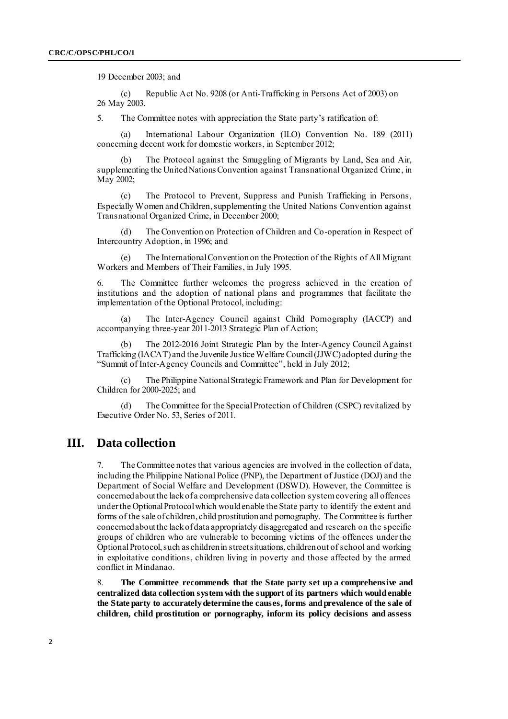19 December 2003; and

(c) Republic Act No. 9208 (or Anti-Trafficking in Persons Act of 2003) on 26 May 2003.

5. The Committee notes with appreciation the State party's ratification of:

(a) International Labour Organization (ILO) Convention No. 189 (2011) concerning decent work for domestic workers, in September 2012;

(b) The Protocol against the Smuggling of Migrants by Land, Sea and Air, supplementing the United Nations Convention against Transnational Organized Crime, in May 2002;

(c) The Protocol to Prevent, Suppress and Punish Trafficking in Persons, Especially Women and Children, supplementing the United Nations Convention against Transnational Organized Crime, in December 2000;

(d) The Convention on Protection of Children and Co-operation in Respect of Intercountry Adoption, in 1996; and

(e) The International Convention on the Protection of the Rights of All Migrant Workers and Members of Their Families, in July 1995.

6. The Committee further welcomes the progress achieved in the creation of institutions and the adoption of national plans and programmes that facilitate the implementation of the Optional Protocol, including:

The Inter-Agency Council against Child Pornography (IACCP) and accompanying three-year 2011-2013 Strategic Plan of Action;

(b) The 2012-2016 Joint Strategic Plan by the Inter-Agency Council Against Trafficking (IACAT) and the Juvenile Justice Welfare Council (JJWC) adopted during the "Summit of Inter-Agency Councils and Committee", held in July 2012;

(c) The Philippine National Strategic Framework and Plan for Development for Children for 2000-2025; and

(d) The Committee for the Special Protection of Children (CSPC) revitalized by Executive Order No. 53, Series of 2011.

## **III. Data collection**

7. The Committee notes that various agencies are involved in the collection of data, including the Philippine National Police (PNP), the Department of Justice (DOJ) and the Department of Social Welfare and Development (DSWD). However, the Committee is concerned about the lack of a comprehensive data collection system covering all offences under the Optional Protocol which would enable the State party to identify the extent and forms of the sale of children, child prostitution and pornography. The Committee is further concerned about the lack of data appropriately disaggregated and research on the specific groups of children who are vulnerable to becoming victims of the offences under the Optional Protocol, such as children in street situations, children out of school and working in exploitative conditions, children living in poverty and those affected by the armed conflict in Mindanao.

8. **The Committee recommends that the State party set up a comprehensive and centralized data collection system with the support of its partners which would enable the State party to accurately determine the causes, forms and prevalence of the sale of children, child prostitution or pornography, inform its policy decisions and assess**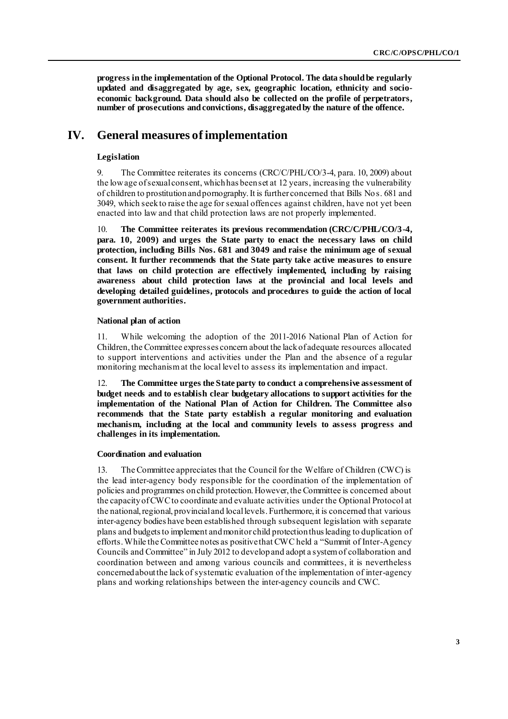**progress in the implementation of the Optional Protocol. The data should be regularly updated and disaggregated by age, sex, geographic location, ethnicity and socioeconomic background. Data should also be collected on the profile of perpetrators, number of prosecutions and convictions, disaggregated by the nature of the offence.**

## **IV. General measures of implementation**

### **Legislation**

9. The Committee reiterates its concerns (CRC/C/PHL/CO/3-4, para. 10, 2009) about the low age of sexual consent, which has been set at 12 years, increasing the vulnerability of children to prostitution and pornography. It is further concerned that Bills Nos. 681 and 3049, which seek to raise the age for sexual offences against children, have not yet been enacted into law and that child protection laws are not properly implemented.

10. **The Committee reiterates its previous recommendation (CRC/C/PHL/CO/3-4, para. 10, 2009) and urges the State party to enact the necessary laws on child protection, including Bills Nos. 681 and 3049 and raise the minimum age of sexual consent. It further recommends that the State party take active measures to ensure that laws on child protection are effectively implemented, including by raising awareness about child protection laws at the provincial and local levels and developing detailed guidelines, protocols and procedures to guide the action of local government authorities.**

### **National plan of action**

11. While welcoming the adoption of the 2011-2016 National Plan of Action for Children, the Committee expresses concern about the lack of adequate resources allocated to support interventions and activities under the Plan and the absence of a regular monitoring mechanism at the local level to assess its implementation and impact.

12. **The Committee urges the State party to conduct a comprehensive assessment of budget needs and to establish clear budgetary allocations to support activities for the implementation of the National Plan of Action for Children. The Committee also recommends that the State party establish a regular monitoring and evaluation mechanism, including at the local and community levels to assess progress and challenges in its implementation.**

### **Coordination and evaluation**

13. The Committee appreciates that the Council for the Welfare of Children (CWC) is the lead inter-agency body responsible for the coordination of the implementation of policies and programmes on child protection. However, the Committee is concerned about the capacity of CWC to coordinate and evaluate activities under the Optional Protocol at the national, regional, provincial and local levels. Furthermore, it is concerned that various inter-agency bodies have been established through subsequent legislation with separate plans and budgets to implement and monitor child protection thus leading to duplication of efforts. While the Committee notes as positive that CWC held a "Summit of Inter-Agency Councils and Committee" in July 2012 to develop and adopt a system of collaboration and coordination between and among various councils and committees, it is nevertheless concerned about the lack of systematic evaluation of the implementation of inter-agency plans and working relationships between the inter-agency councils and CWC.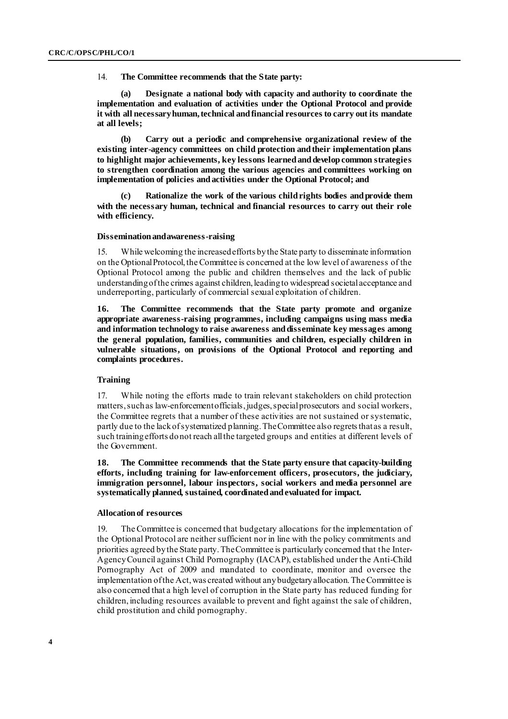14. **The Committee recommends that the State party:**

**(a) Designate a national body with capacity and authority to coordinate the implementation and evaluation of activities under the Optional Protocol and provide it with all necessary human, technical and financial resources to carry out its mandate at all levels;**

**(b) Carry out a periodic and comprehensive organizational review of the existing inter-agency committees on child protection and their implementation plans to highlight major achievements, key lessons learned and develop common strategies to strengthen coordination among the various agencies and committees working on implementation of policies and activities under the Optional Protocol; and**

**(c) Rationalize the work of the various child rights bodies and provide them with the necessary human, technical and financial resources to carry out their role with efficiency.**

#### **Dissemination and awareness-raising**

15. While welcoming the increased efforts by the State party to disseminate information on the Optional Protocol, the Committee is concerned at the low level of awareness of the Optional Protocol among the public and children themselves and the lack of public understanding of the crimes against children, leading to widespread societal acceptance and underreporting, particularly of commercial sexual exploitation of children.

**16. The Committee recommends that the State party promote and organize appropriate awareness-raising programmes, including campaigns using mass media and information technology to raise awareness and disseminate key messages among the general population, families, communities and children, especially children in vulnerable situations, on provisions of the Optional Protocol and reporting and complaints procedures.**

### **Training**

17. While noting the efforts made to train relevant stakeholders on child protection matters, such as law-enforcement officials, judges, special prosecutors and social workers, the Committee regrets that a number of these activities are not sustained or systematic, partly due to the lack of systematized planning. The Committee also regrets that as a result, such training efforts do not reach all the targeted groups and entities at different levels of the Government.

**18. The Committee recommends that the State party ensure that capacity-building efforts, including training for law-enforcement officers, prosecutors, the judiciary, immigration personnel, labour inspectors, social workers and media personnel are systematically planned, sustained, coordinated and evaluated for impact.**

#### **Allocation of resources**

19. The Committee is concerned that budgetary allocations for the implementation of the Optional Protocol are neither sufficient nor in line with the policy commitments and priorities agreed by the State party. The Committee is particularly concerned that the Inter-Agency Council against Child Pornography (IACAP), established under the Anti-Child Pornography Act of 2009 and mandated to coordinate, monitor and oversee the implementation of the Act, was created without any budgetary allocation. The Committee is also concerned that a high level of corruption in the State party has reduced funding for children, including resources available to prevent and fight against the sale of children, child prostitution and child pornography.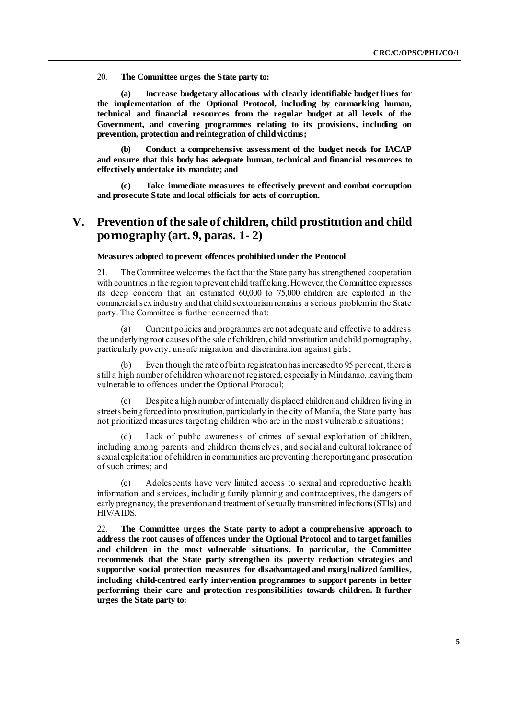20. **The Committee urges the State party to:**

**(a) Increase budgetary allocations with clearly identifiable budget lines for the implementation of the Optional Protocol, including by earmarking human, technical and financial resources from the regular budget at all levels of the Government, and covering programmes relating to its provisions, including on prevention, protection and reintegration of child victims;** 

**(b) Conduct a comprehensive assessment of the budget needs for IACAP and ensure that this body has adequate human, technical and financial resources to effectively undertake its mandate; and**

**(c) Take immediate measures to effectively prevent and combat corruption and prosecute State and local officials for acts of corruption.** 

## **V. Prevention of the sale of children, child prostitution and child pornography (art. 9, paras. 1- 2)**

#### **Measures adopted to prevent offences prohibited under the Protocol**

21. The Committee welcomes the fact that the State party has strengthened cooperation with countries in the region to prevent child trafficking. However, the Committee expresses its deep concern that an estimated 60,000 to 75,000 children are exploited in the commercial sex industry and that child sex tourism remains a serious problem in the State party. The Committee is further concerned that:

(a) Current policies and programmes are not adequate and effective to address the underlying root causes of the sale of children, child prostitution and child pornography, particularly poverty, unsafe migration and discrimination against girls;

(b) Even though the rate of birth registration has increased to 95 per cent, there is still a high number of children who are not registered, especially in Mindanao, leaving them vulnerable to offences under the Optional Protocol;

(c) Despite a high number of internally displaced children and children living in streets being forced into prostitution, particularly in the city of Manila, the State party has not prioritized measures targeting children who are in the most vulnerable situations;

(d) Lack of public awareness of crimes of sexual exploitation of children, including among parents and children themselves, and social and cultural tolerance of sexual exploitation of children in communities are preventing the reporting and prosecution of such crimes; and

(e) Adolescents have very limited access to sexual and reproductive health information and services, including family planning and contraceptives, the dangers of early pregnancy, the prevention and treatment of sexually transmitted infections (STIs) and HIV/AIDS.

22. **The Committee urges the State party to adopt a comprehensive approach to address the root causes of offences under the Optional Protocol and to target families and children in the most vulnerable situations. In particular, the Committee recommends that the State party strengthen its poverty reduction strategies and supportive social protection measures for disadvantaged and marginalized families, including child-centred early intervention programmes to support parents in better performing their care and protection responsibilities towards children. It further urges the State party to:**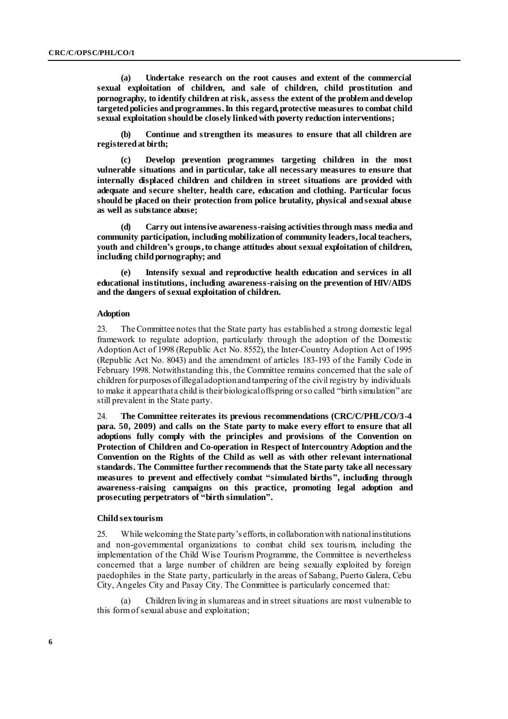**(a) Undertake research on the root causes and extent of the commercial sexual exploitation of children, and sale of children, child prostitution and pornography, to identify children at risk, assess the extent of the problem and develop targeted policies and programmes. In this regard, protective measures to combat child sexual exploitation should be closely linked with poverty reduction interventions;**

**(b) Continue and strengthen its measures to ensure that all children are registered at birth;**

**(c) Develop prevention programmes targeting children in the most vulnerable situations and in particular, take all necessary measures to ensure that internally displaced children and children in street situations are provided with adequate and secure shelter, health care, education and clothing. Particular focus should be placed on their protection from police brutality, physical and sexual abuse as well as substance abuse;** 

**(d) Carry out intensive awareness-raising activities through mass media and community participation, including mobilization of community leaders, local teachers, youth and children's groups,to change attitudes about sexual exploitation of children,**  including child pornography; and

**(e) Intensify sexual and reproductive health education and services in all educational institutions, including awareness-raising on the prevention of HIV/AIDS and the dangers of sexual exploitation of children.** 

#### **Adoption**

23. The Committee notes that the State party has established a strong domestic legal framework to regulate adoption, particularly through the adoption of the Domestic Adoption Act of 1998 (Republic Act No. 8552), the Inter-Country Adoption Act of 1995 (Republic Act No. 8043) and the amendment of articles 183-193 of the Family Code in February 1998. Notwithstanding this, the Committee remains concerned that the sale of children for purposes of illegal adoption and tampering of the civil registry by individuals to make it appear that a child is their biological offspring or so called "birth simulation" are still prevalent in the State party.

24. **The Committee reiterates its previous recommendations (CRC/C/PHL/CO/3-4 para. 50, 2009) and calls on the State party to make every effort to ensure that all adoptions fully comply with the principles and provisions of the Convention on Protection of Children and Co-operation in Respect of Intercountry Adoption andthe Convention on the Rights of the Child as well as with other relevant international standards. The Committee further recommends that the State party take all necessary measures to prevent and effectively combat "simulated births", including through awareness-raising campaigns on this practice, promoting legal adoption and prosecuting perpetrators of "birth simulation".** 

#### **Child sex tourism**

25. While welcoming the State party's efforts, in collaboration with national institutions and non-governmental organizations to combat child sex tourism, including the implementation of the Child Wise Tourism Programme, the Committee is nevertheless concerned that a large number of children are being sexually exploited by foreign paedophiles in the State party, particularly in the areas of Sabang, Puerto Galera, Cebu City, Angeles City and Pasay City. The Committee is particularly concerned that:

(a) Children living in slum areas and in street situations are most vulnerable to this form of sexual abuse and exploitation;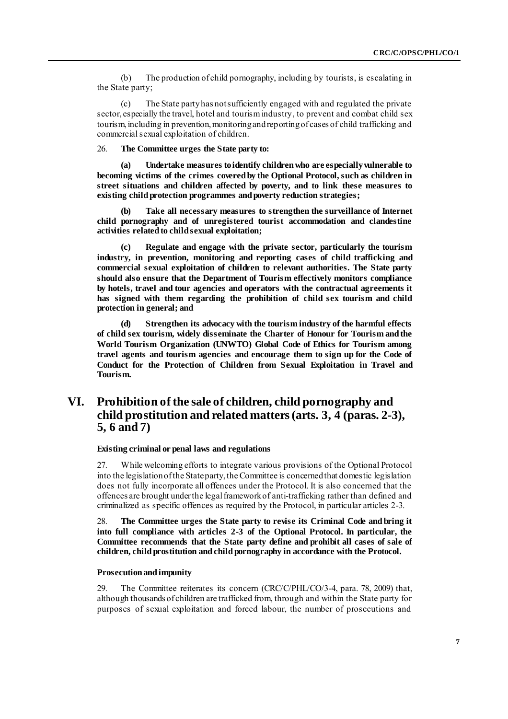(b) The production of child pornography, including by tourists, is escalating in the State party;

(c) The State party has not sufficiently engaged with and regulated the private sector, especially the travel, hotel and tourism industry, to prevent and combat child sex tourism, including in prevention, monitoring and reporting of cases of child trafficking and commercial sexual exploitation of children.

26. **The Committee urges the State party to:**

**(a) Undertake measures to identify children who are especially vulnerable to becoming victims of the crimes covered by the Optional Protocol, such as children in street situations and children affected by poverty, and to link these measures to existing child protection programmes and poverty reduction strategies;**

**(b) Take all necessary measures to strengthen the surveillance of Internet child pornography and of unregistered tourist accommodation and clandestine activities related to child sexual exploitation;** 

**(c) Regulate and engage with the private sector, particularly the tourism industry, in prevention, monitoring and reporting cases of child trafficking and commercial sexual exploitation of children to relevant authorities. The State party should also ensure that the Department of Tourism effectively monitors compliance by hotels, travel and tour agencies and operators with the contractual agreements it has signed with them regarding the prohibition of child sex tourism and child protection in general; and**

**(d) Strengthen its advocacy with the tourism industry of the harmful effects of child sex tourism, widely disseminate the Charter of Honour for Tourism and the World Tourism Organization (UNWTO) Global Code of Ethics for Tourism among travel agents and tourism agencies and encourage them to sign up for the Code of Conduct for the Protection of Children from Sexual Exploitation in Travel and Tourism.**

## **VI. Prohibition of the sale of children, child pornography and child prostitution and related matters (arts. 3, 4 (paras. 2-3), 5, 6 and 7)**

**Existing criminal or penal laws and regulations**

27. While welcoming efforts to integrate various provisions of the Optional Protocol into the legislation of the State party, the Committee is concerned that domestic legislation does not fully incorporate all offences under the Protocol. It is also concerned that the offences are brought under the legal framework of anti-trafficking rather than defined and criminalized as specific offences as required by the Protocol, in particular articles 2-3.

28. **The Committee urges the State party to revise its Criminal Code and bring it into full compliance with articles 2-3 of the Optional Protocol. In particular, the Committee recommends that the State party define and prohibit all cases of sale of children, child prostitution and child pornography in accordance with the Protocol.** 

### **Prosecution and impunity**

29. The Committee reiterates its concern (CRC/C/PHL/CO/3-4, para. 78, 2009) that, although thousands of children are trafficked from, through and within the State party for purposes of sexual exploitation and forced labour, the number of prosecutions and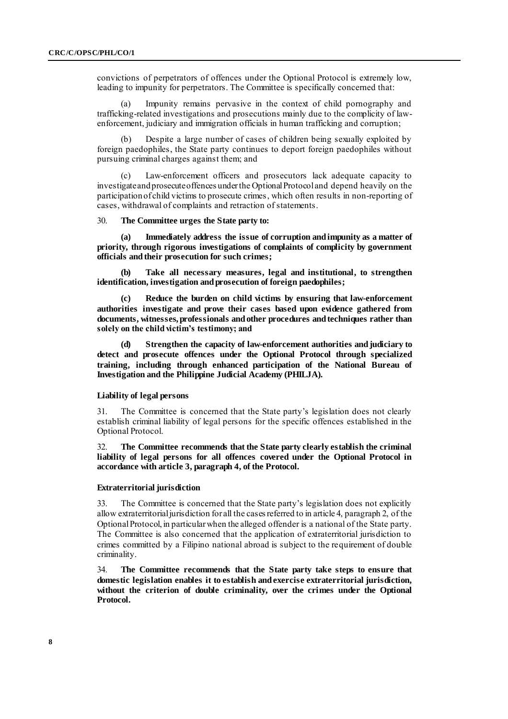convictions of perpetrators of offences under the Optional Protocol is extremely low, leading to impunity for perpetrators. The Committee is specifically concerned that:

(a) Impunity remains pervasive in the context of child pornography and trafficking-related investigations and prosecutions mainly due to the complicity of lawenforcement, judiciary and immigration officials in human trafficking and corruption;

(b) Despite a large number of cases of children being sexually exploited by foreign paedophiles, the State party continues to deport foreign paedophiles without pursuing criminal charges against them; and

(c) Law-enforcement officers and prosecutors lack adequate capacity to investigate and prosecute offences under the Optional Protocol and depend heavily on the participation of child victims to prosecute crimes, which often results in non-reporting of cases, withdrawal of complaints and retraction of statements.

#### 30. **The Committee urges the State party to:**

**(a) Immediately address the issue of corruption and impunity as a matter of priority, through rigorous investigations of complaints of complicity by government officials and their prosecution for such crimes;**

**(b) Take all necessary measures, legal and institutional, to strengthen identification, investigation and prosecution of foreign paedophiles;**

**(c) Reduce the burden on child victims by ensuring that law-enforcement authorities investigate and prove their cases based upon evidence gathered from documents, witnesses, professionals and other procedures and techniques rather than solely on the child victim's testimony; and**

**(d) Strengthen the capacity of law-enforcement authorities and judiciary to detect and prosecute offences under the Optional Protocol through specialized training, including through enhanced participation of the National Bureau of Investigation and the Philippine Judicial Academy (PHILJA).**

#### **Liability of legal persons**

31. The Committee is concerned that the State party's legislation does not clearly establish criminal liability of legal persons for the specific offences established in the Optional Protocol.

32. **The Committee recommends that the State party clearly establish the criminal liability of legal persons for all offences covered under the Optional Protocol in accordance with article 3, paragraph 4, of the Protocol.**

#### **Extraterritorial jurisdiction**

33. The Committee is concerned that the State party's legislation does not explicitly allow extraterritorial jurisdiction for all the cases referred to in article 4, paragraph 2, of the Optional Protocol, in particular when the alleged offender is a national of the State party. The Committee is also concerned that the application of extraterritorial jurisdiction to crimes committed by a Filipino national abroad is subject to the requirement of double criminality.

34. **The Committee recommends that the State party take steps to ensure that domestic legislation enables it to establish and exercise extraterritorial jurisdiction, without the criterion of double criminality, over the crimes under the Optional Protocol.**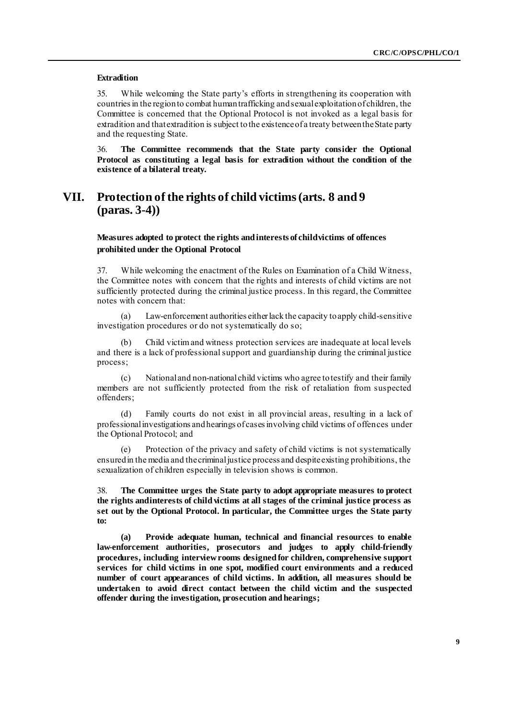### **Extradition**

35. While welcoming the State party's efforts in strengthening its cooperation with countries in the region to combat human trafficking and sexual exploitation of children, the Committee is concerned that the Optional Protocol is not invoked as a legal basis for extradition and that extradition is subject to the existence of a treaty between the State party and the requesting State.

36. **The Committee recommends that the State party consider the Optional Protocol as constituting a legal basis for extradition without the condition of the existence of a bilateral treaty.**

## **VII. Protection of the rights of child victims (arts. 8 and 9 (paras. 3-4))**

### **Measures adopted to protect the rights and interests of child victims of offences prohibited under the Optional Protocol**

37. While welcoming the enactment of the Rules on Examination of a Child Witness, the Committee notes with concern that the rights and interests of child victims are not sufficiently protected during the criminal justice process. In this regard, the Committee notes with concern that:

(a) Law-enforcement authorities either lack the capacity to apply child-sensitive investigation procedures or do not systematically do so;

(b) Child victim and witness protection services are inadequate at local levels and there is a lack of professional support and guardianship during the criminal justice process;

(c) National and non-national child victims who agree to testify and their family members are not sufficiently protected from the risk of retaliation from suspected offenders;

(d) Family courts do not exist in all provincial areas, resulting in a lack of professional investigations and hearings of cases involving child victims of offences under the Optional Protocol; and

(e) Protection of the privacy and safety of child victims is not systematically ensured in the media and the criminal justice process and despite existing prohibitions, the sexualization of children especially in television shows is common.

38. **The Committee urges the State party to adopt appropriate measures to protect the rights and interests of child victims at all stages of the criminal justice process as set out by the Optional Protocol. In particular, the Committee urges the State party to:**

**(a) Provide adequate human, technical and financial resources to enable law-enforcement authorities, prosecutors and judges to apply child-friendly procedures, including interview rooms designed for children, comprehensive support services for child victims in one spot, modified court environments and a reduced number of court appearances of child victims. In addition, all measures should be undertaken to avoid direct contact between the child victim and the suspected offender during the investigation, prosecution and hearings;**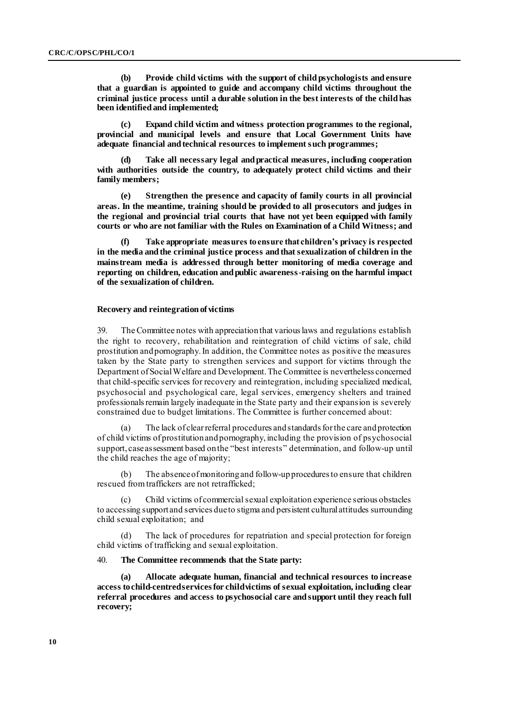**(b) Provide child victims with the support of child psychologists and ensure that a guardian is appointed to guide and accompany child victims throughout the criminal justice process until a durable solution in the best interests of the child has been identified and implemented;**

**(c) Expand child victim and witness protection programmes to the regional, provincial and municipal levels and ensure that Local Government Units have adequate financial and technical resources to implement such programmes;**

**(d) Take all necessary legal and practical measures, including cooperation with authorities outside the country, to adequately protect child victims and their family members;** 

**(e) Strengthen the presence and capacity of family courts in all provincial areas. In the meantime, training should be provided to all prosecutors and judges in the regional and provincial trial courts that have not yet been equipped with family courts or who are not familiar with the Rules on Examination of a Child Witness; and**

**(f) Take appropriate measures to ensure that children's privacy is respected in the media and the criminal justice process and that sexualization of children in the mainstream media is addressed through better monitoring of media coverage and reporting on children, education and public awareness-raising on the harmful impact of the sexualization of children.** 

#### **Recovery and reintegration of victims**

39. The Committee notes with appreciation that various laws and regulations establish the right to recovery, rehabilitation and reintegration of child victims of sale, child prostitution and pornography. In addition, the Committee notes as positive the measures taken by the State party to strengthen services and support for victims through the Department of Social Welfare and Development. The Committee is nevertheless concerned that child-specific services for recovery and reintegration, including specialized medical, psychosocial and psychological care, legal services, emergency shelters and trained professionals remain largely inadequate in the State party and their expansion is severely constrained due to budget limitations. The Committee is further concerned about:

(a) The lack of clear referral procedures and standards for the care and protection of child victims of prostitution and pornography, including the provision of psychosocial support, case assessment based on the "best interests" determination, and follow-up until the child reaches the age of majority;

(b) The absence of monitoring and follow-up procedures to ensure that children rescued from traffickers are not retrafficked;

(c) Child victims of commercial sexual exploitation experience serious obstacles to accessing support and services due to stigma and persistent cultural attitudes surrounding child sexual exploitation; and

(d) The lack of procedures for repatriation and special protection for foreign child victims of trafficking and sexual exploitation.

#### 40. **The Committee recommends that the State party:**

**(a) Allocate adequate human, financial and technical resources to increase access to child-centred services for child victims of sexual exploitation, including clear referral procedures and access to psychosocial care and support until they reach full recovery;**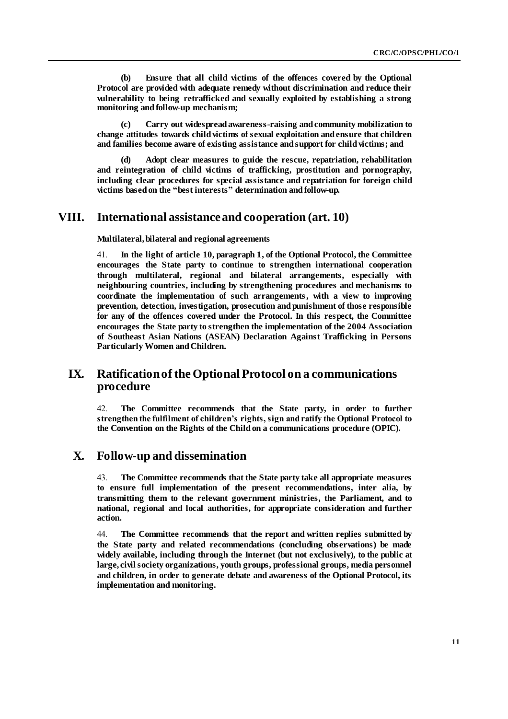**(b) Ensure that all child victims of the offences covered by the Optional Protocol are provided with adequate remedy without discrimination and reduce their vulnerability to being retrafficked and sexually exploited by establishing a strong monitoring and follow-up mechanism;** 

**(c) Carry out widespread awareness-raising and community mobilization to change attitudes towards child victims of sexual exploitation and ensure that children and families become aware of existing assistance and support for child victims; and**

**(d) Adopt clear measures to guide the rescue, repatriation, rehabilitation and reintegration of child victims of trafficking, prostitution and pornography, including clear procedures for special assistance and repatriation for foreign child victims based on the "best interests" determination and follow-up.**

## **VIII. International assistance and cooperation (art. 10)**

**Multilateral, bilateral and regional agreements**

41. **In the light of article 10, paragraph 1, of the Optional Protocol, the Committee encourages the State party to continue to strengthen international cooperation through multilateral, regional and bilateral arrangements, especially with neighbouring countries, including by strengthening procedures and mechanisms to coordinate the implementation of such arrangements, with a view to improving prevention, detection, investigation, prosecution and punishment of those responsible for any of the offences covered under the Protocol. In this respect, the Committee encourages the State party to strengthen the implementation of the 2004 Association of Southeast Asian Nations (ASEAN) Declaration Against Trafficking in Persons Particularly Women and Children.**

## **IX. Ratification of the Optional Protocol on a communications procedure**

42. **The Committee recommends that the State party, in order to further strengthen the fulfilment of children's rights, sign and ratify the Optional Protocol to the Convention on the Rights of the Child on a communications procedure (OPIC).**

## **X. Follow-up and dissemination**

43. **The Committee recommends that the State party take all appropriate measures to ensure full implementation of the present recommendations, inter alia, by transmitting them to the relevant government ministries, the Parliament, and to national, regional and local authorities, for appropriate consideration and further action.**

44. **The Committee recommends that the report and written replies submitted by the State party and related recommendations (concluding observations) be made widely available, including through the Internet (but not exclusively), to the public at large, civil society organizations, youth groups, professional groups, media personnel and children, in order to generate debate and awareness of the Optional Protocol, its implementation and monitoring.**